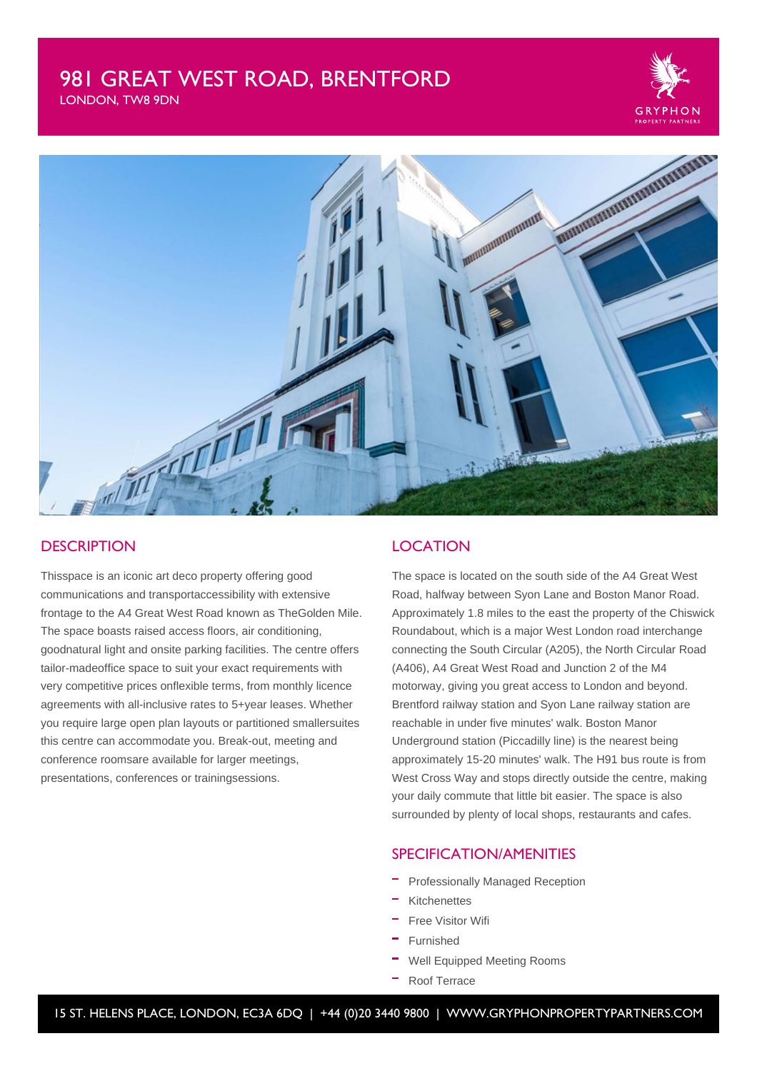# 981 GREAT WEST ROAD, BRENTFORD

LONDON, TW8 9DN





### **DESCRIPTION**

Thisspace is an iconic art deco property offering good communications and transportaccessibility with extensive frontage to the A4 Great West Road known as TheGolden Mile. The space boasts raised access floors, air conditioning, goodnatural light and onsite parking facilities. The centre offers tailor-madeoffice space to suit your exact requirements with very competitive prices onflexible terms, from monthly licence agreements with all-inclusive rates to 5+year leases. Whether you require large open plan layouts or partitioned smallersuites this centre can accommodate you. Break-out, meeting and conference roomsare available for larger meetings, presentations, conferences or trainingsessions.

## **LOCATION**

The space is located on the south side of the A4 Great West Road, halfway between Syon Lane and Boston Manor Road. Approximately 1.8 miles to the east the property of the Chiswick Roundabout, which is a major West London road interchange connecting the South Circular (A205), the North Circular Road (A406), A4 Great West Road and Junction 2 of the M4 motorway, giving you great access to London and beyond. Brentford railway station and Syon Lane railway station are reachable in under five minutes' walk. Boston Manor Underground station (Piccadilly line) is the nearest being approximately 15-20 minutes' walk. The H91 bus route is from West Cross Way and stops directly outside the centre, making your daily commute that little bit easier. The space is also surrounded by plenty of local shops, restaurants and cafes.

#### SPECIFICATION/AMENITIES

- Professionally Managed Reception
- Kitchenettes
- Free Visitor Wifi
- Furnished
- Well Equipped Meeting Rooms
- Roof Terrace